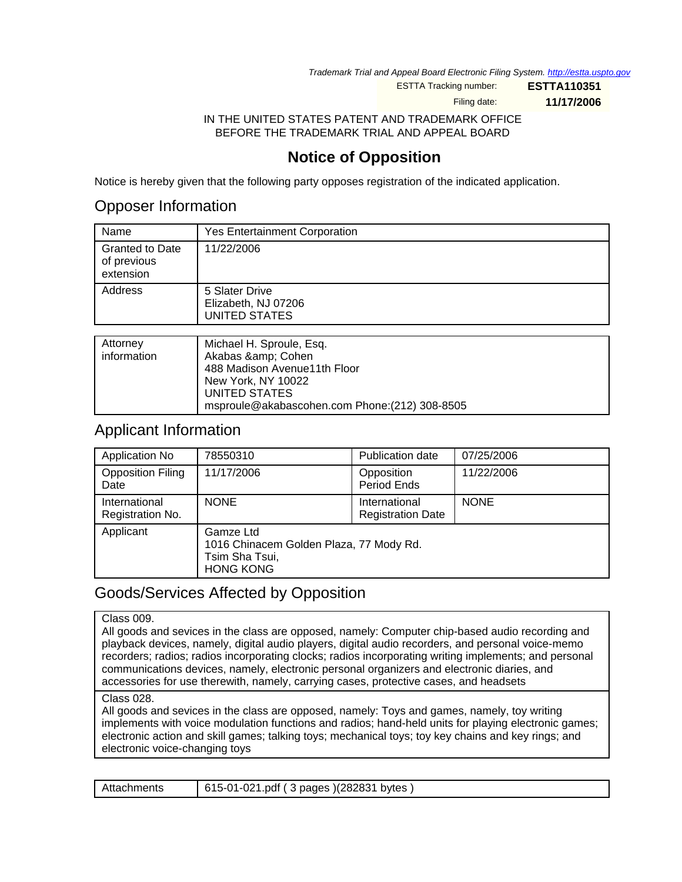Trademark Trial and Appeal Board Electronic Filing System. <http://estta.uspto.gov>

ESTTA Tracking number: **ESTTA110351**

Filing date: **11/17/2006**

IN THE UNITED STATES PATENT AND TRADEMARK OFFICE BEFORE THE TRADEMARK TRIAL AND APPEAL BOARD

# **Notice of Opposition**

Notice is hereby given that the following party opposes registration of the indicated application.

## Opposer Information

| Name                                               | <b>Yes Entertainment Corporation</b>                          |
|----------------------------------------------------|---------------------------------------------------------------|
| <b>Granted to Date</b><br>of previous<br>extension | 11/22/2006                                                    |
| Address                                            | 5 Slater Drive<br>Elizabeth, NJ 07206<br><b>UNITED STATES</b> |
|                                                    |                                                               |
| Atturn                                             | Michael H Sproule Fea                                         |

| Attorney    | Michael H. Sproule, Esq.                       |
|-------------|------------------------------------------------|
| information | Akabas & Cohen                                 |
|             | 488 Madison Avenue11th Floor                   |
|             | New York, NY 10022                             |
|             | UNITED STATES                                  |
|             | msproule@akabascohen.com Phone: (212) 308-8505 |
|             |                                                |

### Applicant Information

| Application No                    | 78550310                                                                                   | Publication date                          | 07/25/2006  |
|-----------------------------------|--------------------------------------------------------------------------------------------|-------------------------------------------|-------------|
| <b>Opposition Filing</b><br>Date  | 11/17/2006                                                                                 | Opposition<br>Period Ends                 | 11/22/2006  |
| International<br>Registration No. | <b>NONE</b>                                                                                | International<br><b>Registration Date</b> | <b>NONE</b> |
| Applicant                         | Gamze Ltd<br>1016 Chinacem Golden Plaza, 77 Mody Rd.<br>Tsim Sha Tsui,<br><b>HONG KONG</b> |                                           |             |

# Goods/Services Affected by Opposition

#### Class 009.

All goods and sevices in the class are opposed, namely: Computer chip-based audio recording and playback devices, namely, digital audio players, digital audio recorders, and personal voice-memo recorders; radios; radios incorporating clocks; radios incorporating writing implements; and personal communications devices, namely, electronic personal organizers and electronic diaries, and accessories for use therewith, namely, carrying cases, protective cases, and headsets

#### Class 028.

All goods and sevices in the class are opposed, namely: Toys and games, namely, toy writing implements with voice modulation functions and radios; hand-held units for playing electronic games; electronic action and skill games; talking toys; mechanical toys; toy key chains and key rings; and electronic voice-changing toys

| Attachments | 615-01-021.pdf (3 pages) (282831 bytes) |
|-------------|-----------------------------------------|
|-------------|-----------------------------------------|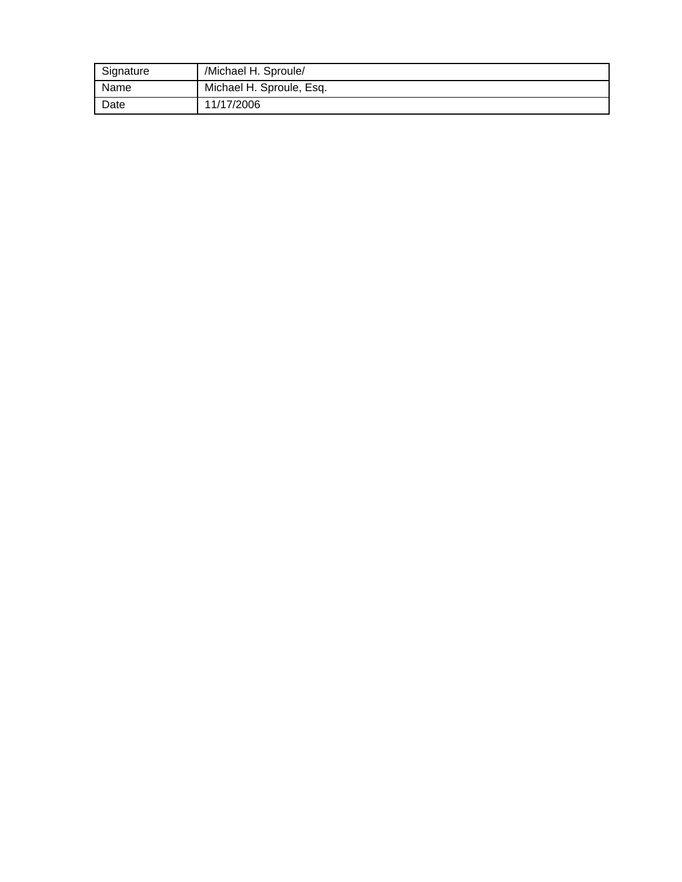| Signature | /Michael H. Sproule/     |
|-----------|--------------------------|
| Name      | Michael H. Sproule, Esq. |
| Date      | 11/17/2006               |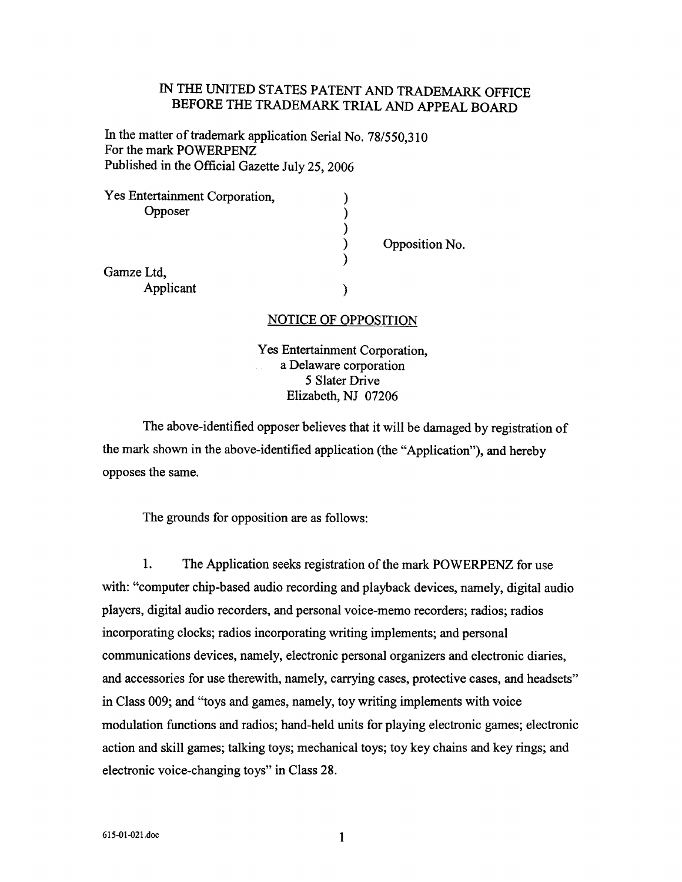### IN THE UNITED STATES PATENT AND TRADEMARK OFFICE BEFORE THE TRADEMARK TRIAL AND APPEAL BOARD

In the matter of trademark application Serial No. 78/550,310 For the mark POWERPENZ Published in the Official Gazette July 25, 2006

| Yes Entertainment Corporation, |                |
|--------------------------------|----------------|
| Opposer                        |                |
|                                |                |
|                                | Opposition No. |
|                                |                |
| Gamze Ltd,                     |                |
| Applicant                      |                |

#### **NOTICE OF OPPOSITION**

Yes Entertainment Corporation, a Delaware corporation 5 Slater Drive Elizabeth, NJ 07206

The above-identified opposer believes that it will be damaged by registration of the mark shown in the above-identified application (the "Application"), and hereby opposes the same.

The grounds for opposition are as follows:

1. The Application seeks registration of the mark POWERPENZ for use with: "computer chip-based audio recording and playback devices, namely, digital audio players, digital audio recorders, and personal voice-memo recorders; radios; radios incorporating clocks; radios incorporating writing implements; and personal communications devices, namely, electronic personal organizers and electronic diaries, and accessories for use therewith, namely, carrying cases, protective cases, and headsets" in Class 009; and "toys and games, namely, toy writing implements with voice modulation functions and radios; hand-held units for playing electronic games; electronic action and skill games; talking toys; mechanical toys; toy key chains and key rings; and electronic voice-changing toys" in Class 28.

 $\mathbf{1}$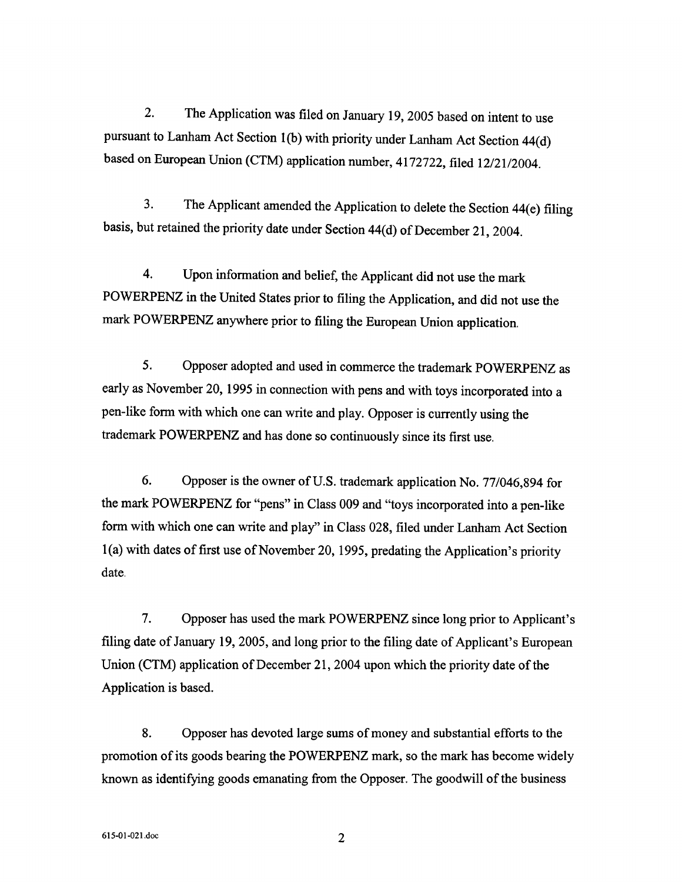The Application was filed on January 19, 2005 based on intent to use  $2.$ pursuant to Lanham Act Section 1(b) with priority under Lanham Act Section 44(d) based on European Union (CTM) application number, 4172722, filed 12/21/2004.

 $3<sub>1</sub>$ The Applicant amended the Application to delete the Section 44(e) filing basis, but retained the priority date under Section 44(d) of December 21, 2004.

 $\overline{4}$ . Upon information and belief, the Applicant did not use the mark POWERPENZ in the United States prior to filing the Application, and did not use the mark POWERPENZ anywhere prior to filing the European Union application.

5. Opposer adopted and used in commerce the trademark POWERPENZ as early as November 20, 1995 in connection with pens and with toys incorporated into a pen-like form with which one can write and play. Opposer is currently using the trademark POWERPENZ and has done so continuously since its first use.

6. Opposer is the owner of U.S. trademark application No. 77/046,894 for the mark POWERPENZ for "pens" in Class 009 and "toys incorporated into a pen-like form with which one can write and play" in Class 028, filed under Lanham Act Section  $1(a)$  with dates of first use of November 20, 1995, predating the Application's priority date.

7. Opposer has used the mark POWERPENZ since long prior to Applicant's filing date of January 19, 2005, and long prior to the filing date of Applicant's European Union (CTM) application of December 21, 2004 upon which the priority date of the Application is based.

8. Opposer has devoted large sums of money and substantial efforts to the promotion of its goods bearing the POWERPENZ mark, so the mark has become widely known as identifying goods emanating from the Opposer. The goodwill of the business

 $\overline{2}$